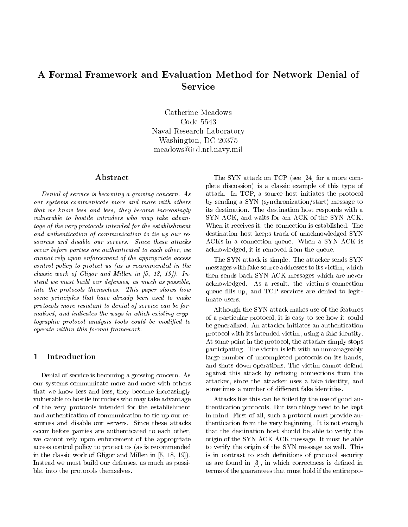Catherine Meadows Naval Research Laboratory Washington, DC 20375<br>meadows@itd.nrl.navy.mil was did.nrl.navy.mil  $\mathcal{O}$ 

Denial of service is becoming a growing concern. As our systems communicate more and more with others that we know less and less, they become increasingly vulnerable to hostile intruders who may take advantage of the very protocols intended for the establishment and authentication of communication to tie up our resources and disable our servers. Since these attacks occur before parties are authenticated to each other, we cannot rely upon enforcement of the appropriate access control policy to protect us (as is recommended in the classic work of Gligor and Millen in  $(5, 18, 19)$ . Instead we must build our defenses, as much as possible, into the protocols themselves. This paper shows how some principles that have already been used to make protocols more resistant to denial of service can be formalized, and indicates the ways in which existing cryptographic protocol analysis tools could be modified to operate within this formal framework.

# 1 Introduction

Denial of service is becoming a growing concern. As our systems communicate more and more with others that we know less and less, they become increasingly vulnerable to hostile intruders who may take advantage of the very protocols intended for the establishment and authentication of communication to tie up our resources and disable our servers. Since these attacks occur before parties are authenticated to each other, we cannot rely upon enforcement of the appropriate access control policy to protect us (as is recommended in the classic work of Gligor and Millen in [5, 18, 19]). Instead we must build our defenses, as much as possible, into the protocols themselves.

The SYN attack on TCP (see [24] for a more complete discussion) is a classic example of this type of attack. In TCP, a source host initiates the protocol by sending a SYN (synchronization/start) message to its destination. The destination host responds with a SYN ACK, and waits for am ACK of the SYN ACK. When it receives it, the connection is established. The destination host keeps track of unacknowledged SYN ACKs in a connection queue. When a SYN ACK is acknowledged, it is removed from the queue.

The SYN attack is simple. The attacker sends SYN messages with fake source addresses to its victim, which then sends back SYN ACK messages which are never acknowledged. As a result, the victim's connection queue fills up, and TCP services are denied to legitimate users.

Although the SYN attack makes use of the features of a particular protocol, it is easy to see how it could be generalized. An attacker initiates an authentication protocol with its intended victim, using a fake identity. At some point in the protocol, the attacker simply stops participating. The victim is left with an unmanageably large number of uncompleted protocols on its hands, and shuts down operations. The victim cannot defend against this attack by refusing connections from the attacker, since the attacker uses a fake identity, and sometimes a number of different fake identities.

Attacks like this can be foiled by the use of good authentication protocols. But two things need to be kept in mind. First of all, such a protocol must provide authentication from the very beginning. It is not enough that the destination host should be able to verify the origin of the SYN ACK ACK message. It must be able to verify the origin of the SYN message as well. This is in contrast to such definitions of protocol security as are found in  $[3]$ , in which correctness is defined in terms of the guarantees that must hold if the entire pro-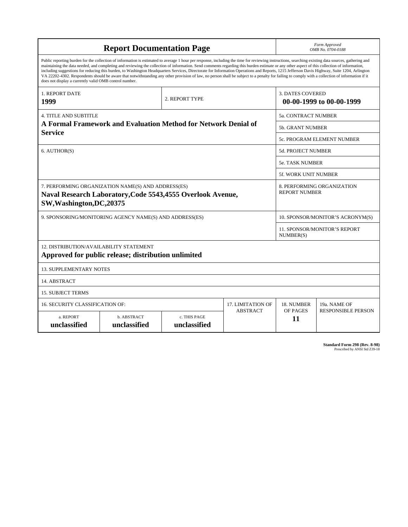| <b>Report Documentation Page</b>                                                                                                                                                                                                                                                                                                                                                                                                                                                                                                                                                                                                                                                                                                                                                                                                                                   |                             |                              |                                                     | Form Approved<br>OMB No. 0704-0188                 |                           |
|--------------------------------------------------------------------------------------------------------------------------------------------------------------------------------------------------------------------------------------------------------------------------------------------------------------------------------------------------------------------------------------------------------------------------------------------------------------------------------------------------------------------------------------------------------------------------------------------------------------------------------------------------------------------------------------------------------------------------------------------------------------------------------------------------------------------------------------------------------------------|-----------------------------|------------------------------|-----------------------------------------------------|----------------------------------------------------|---------------------------|
| Public reporting burden for the collection of information is estimated to average 1 hour per response, including the time for reviewing instructions, searching existing data sources, gathering and<br>maintaining the data needed, and completing and reviewing the collection of information. Send comments regarding this burden estimate or any other aspect of this collection of information,<br>including suggestions for reducing this burden, to Washington Headquarters Services, Directorate for Information Operations and Reports, 1215 Jefferson Davis Highway, Suite 1204, Arlington<br>VA 22202-4302. Respondents should be aware that notwithstanding any other provision of law, no person shall be subject to a penalty for failing to comply with a collection of information if it<br>does not display a currently valid OMB control number. |                             |                              |                                                     |                                                    |                           |
| <b>1. REPORT DATE</b><br>2. REPORT TYPE<br>1999                                                                                                                                                                                                                                                                                                                                                                                                                                                                                                                                                                                                                                                                                                                                                                                                                    |                             |                              | <b>3. DATES COVERED</b><br>00-00-1999 to 00-00-1999 |                                                    |                           |
| <b>4. TITLE AND SUBTITLE</b>                                                                                                                                                                                                                                                                                                                                                                                                                                                                                                                                                                                                                                                                                                                                                                                                                                       |                             |                              |                                                     | 5a. CONTRACT NUMBER                                |                           |
| A Formal Framework and Evaluation Method for Network Denial of<br><b>Service</b>                                                                                                                                                                                                                                                                                                                                                                                                                                                                                                                                                                                                                                                                                                                                                                                   |                             |                              |                                                     | 5b. GRANT NUMBER                                   |                           |
|                                                                                                                                                                                                                                                                                                                                                                                                                                                                                                                                                                                                                                                                                                                                                                                                                                                                    |                             |                              |                                                     | 5c. PROGRAM ELEMENT NUMBER                         |                           |
| 6. AUTHOR(S)                                                                                                                                                                                                                                                                                                                                                                                                                                                                                                                                                                                                                                                                                                                                                                                                                                                       |                             |                              |                                                     | <b>5d. PROJECT NUMBER</b>                          |                           |
|                                                                                                                                                                                                                                                                                                                                                                                                                                                                                                                                                                                                                                                                                                                                                                                                                                                                    |                             |                              |                                                     | <b>5e. TASK NUMBER</b>                             |                           |
|                                                                                                                                                                                                                                                                                                                                                                                                                                                                                                                                                                                                                                                                                                                                                                                                                                                                    |                             |                              |                                                     | 5f. WORK UNIT NUMBER                               |                           |
| 7. PERFORMING ORGANIZATION NAME(S) AND ADDRESS(ES)<br>Naval Research Laboratory, Code 5543, 4555 Overlook Avenue,<br>SW, Washington, DC, 20375                                                                                                                                                                                                                                                                                                                                                                                                                                                                                                                                                                                                                                                                                                                     |                             |                              |                                                     | 8. PERFORMING ORGANIZATION<br><b>REPORT NUMBER</b> |                           |
| 9. SPONSORING/MONITORING AGENCY NAME(S) AND ADDRESS(ES)                                                                                                                                                                                                                                                                                                                                                                                                                                                                                                                                                                                                                                                                                                                                                                                                            |                             |                              |                                                     | 10. SPONSOR/MONITOR'S ACRONYM(S)                   |                           |
|                                                                                                                                                                                                                                                                                                                                                                                                                                                                                                                                                                                                                                                                                                                                                                                                                                                                    |                             |                              |                                                     | <b>11. SPONSOR/MONITOR'S REPORT</b><br>NUMBER(S)   |                           |
| 12. DISTRIBUTION/AVAILABILITY STATEMENT<br>Approved for public release; distribution unlimited                                                                                                                                                                                                                                                                                                                                                                                                                                                                                                                                                                                                                                                                                                                                                                     |                             |                              |                                                     |                                                    |                           |
| <b>13. SUPPLEMENTARY NOTES</b>                                                                                                                                                                                                                                                                                                                                                                                                                                                                                                                                                                                                                                                                                                                                                                                                                                     |                             |                              |                                                     |                                                    |                           |
| 14. ABSTRACT                                                                                                                                                                                                                                                                                                                                                                                                                                                                                                                                                                                                                                                                                                                                                                                                                                                       |                             |                              |                                                     |                                                    |                           |
| <b>15. SUBJECT TERMS</b>                                                                                                                                                                                                                                                                                                                                                                                                                                                                                                                                                                                                                                                                                                                                                                                                                                           |                             |                              |                                                     |                                                    |                           |
| 16. SECURITY CLASSIFICATION OF:<br><b>17. LIMITATION OF</b>                                                                                                                                                                                                                                                                                                                                                                                                                                                                                                                                                                                                                                                                                                                                                                                                        |                             |                              |                                                     | 18. NUMBER                                         | 19a. NAME OF              |
| a. REPORT<br>unclassified                                                                                                                                                                                                                                                                                                                                                                                                                                                                                                                                                                                                                                                                                                                                                                                                                                          | b. ABSTRACT<br>unclassified | c. THIS PAGE<br>unclassified | <b>ABSTRACT</b>                                     | OF PAGES<br>11                                     | <b>RESPONSIBLE PERSON</b> |

**Standard Form 298 (Rev. 8-98)**<br>Prescribed by ANSI Std Z39-18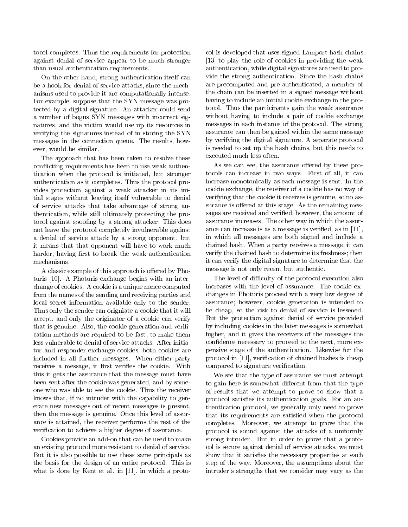tocol completes. Thus the requirements for protection against denial of service appear to be much stronger than usual authentication requirements.

On the other hand, strong authentication itself can be a hook for denial of service attacks, since the mechanisms used to provide it are computationally intense. For example, suppose that the SYN message was protected by a digital signature. An attacker could send a number of bogus SYN messages with incorrect signatures, and the victim would use up its resources in verifying the signatures instead of in storing the SYN messages in the connection queue. The results, how ever, would be similar.

The approach that has been taken to resolve these con
icting requirements has been to use weak authentication when the protocol is initiated, but stronger authentication as it completes. Thus the protocol provides protection against a weak attacker in its initial stages without leaving itself vulnerable to denial of service attacks that take advantage of strong authentication, while still ultimately protecting the protocol against spoofing by a strong attacker. This does not leave the protocol completely invulnerable against a denial of service attack by a strong opponent, but it means that that opponent will have to work much harder, having first to break the weak authentication mechanisms.

A classic example of this approach is offered by Photuris [10]. A Photuris exchange begins with an interchange of cookies. A cookie is a unique nonce computed from the names of the sending and receiving parties and local secret information available only to the sender. Thus only the sender can origniate a cookie that it will accept, and only the originator of a cookie can verify that is genuine. Also, the cookie generation and verification methods are required to be fast, to make them less vulnerable to denial of service attacks. After initiator and responder exchange cookies, both cookies are included in all further messages. When either party receives a message, it first verifies the cookie. With this it gets the assurance that the message must have been sent after the cookie was generated, and by someone who was able to see the cookie. Thus the receiver knows that, if no intruder with the capability to generate new messages out of recent messages is present, then the message is genuine. Once this level of assurance is attained, the receiver performs the rest of the verication to achieve a higher degree of assurance.

Cookies provide an add-on that can be used to make an existing protocol more resistant to denial of service. But it is also possible to use these same principals as the basis for the design of an entire protocol. This is what is done by Kent et al. in [11], in which a protocol is developed that uses signed Lamport hash chains [13] to play the role of cookies in providing the weak authentication, while digital signatures are used to provide the strong authentication. Since the hash chains are precomputed and pre-authenticated, a member of the chain can be inserted in a signed message without having to include an initial cookie exchange in the protocol. Thus the participants gain the weak assurance without having to include a pair of cookie exchange messages in each instance of the protocol. The strong assurance can then be gained within the same message by verifying the digital signature. A separate protocol is needed to set up the hash chains, but this needs to executed much less often.

As we can see, the assurance offered by these protocols can increase in two ways. First of all, it can increase monotonically as each message is sent. In the cookie exchange, the receiver of a cookie has no way of verifying that the cookie it receives is genuine, so no assurance is offered at this stage. As the remaining messages are received and veried, however, the amount of assurance increases. The other way in which the assurance can increase is as a message is verified, as in [11], in which all messages are both signed and include a chained hash. When a party receives a message, it can verify the chained hash to determine its freshness; then it can verify the digital signature to determine that the message is not only recent but authentic.

The level of difficulty of the protocol execution also increases with the level of assurance. The cookie exchanges in Photuris proceed with a very low degree of assurance; however, cookie generation is intended to be cheap, so the risk to denial of service is lessened. But the protection against denial of service provided by including cookies in the later messages is somewhat higher, and it gives the receivers of the messages the confidence necessary to proceed to the next, more expensive stage of the authentication. Likewise for the protocol in [11], verification of chained hashes is cheap compared to signature verification.

We see that the type of assurance we must attempt to gain here is somewhat different from that the type of results that we attempt to prove to show that a protocol satisfies its authentication goals. For an authentication protocol, we generally only need to prove that its requirements are satisfied when the protocol completes. Moreover, we attempt to prove that the protocol is sound against the attacks of a uniformly strong intruder. But in order to prove that a protocol is secure against denial of service attacks, we must show that it satisfies the necessary properties at each step of the way. Moreover, the assumptions about the intruder's strengths that we consider may vary as the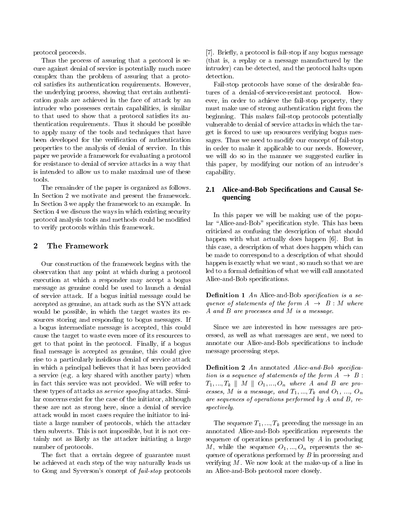protocol proceeds.

Thus the process of assuring that a protocol is secure against denial of service is potentially much more complex than the problem of assuring that a protocol satisfies its authentication requirements. However, the underlying process, showing that certain authentication goals are achieved in the face of attack by an intruder who possesses certain capabilities, is similar to that used to show that a protocol satisfies its authentication requirements. Thus it should be possible to apply many of the tools and techniques that have been developed for the verification of authentication properties to the analysis of denial of service. In this paper we provide a framework for evaluating a protocol for resistance to denial of service attacks in a way that is intended to allow us to make maximal use of these tools.

The remainder of the paper is organized as follows. In Section 2 we motivate and present the framework. In Section 3 we apply the framework to an example. In Section 4 we discuss the ways in which existing security protocol analysis tools and methods could be modied to verify protocols within this framework.

### $\overline{2}$ The Framework

Our construction of the framework begins with the observation that any point at which during a protocol execution at which a responder may accept a bogus message as genuine could be used to launch a denial of service attack. If a bogus initial message could be accepted as genuine, an attack such as the SYN attack would be possible, in which the target wastes its resources storing and responding to bogus messages. If a bogus intermediate message is accepted, this could cause the target to waste even more of its resources to get to that point in the protocol. Finally, if a bogus final message is accepted as genuine, this could give rise to a particularly insidious denial of service attack in which a principal believes that it has been provided a service (e.g. a key shared with another party) when in fact this service was not provided. We will refer to these types of attacks as *service spoofing* attacks. Similar concerns exist for the case of the initiator, although these are not as strong here, since a denial of service attack would in most cases require the initiator to initiate a large number of protocols, which the attacker then subverts. This is not impossible, but it is not certainly not as likely as the attacker initiating a large number of protocols.

The fact that a certain degree of guarantee must be achieved at each step of the way naturally leads us to Gong and Syverson's concept of fail-stop protocols [7]. Briefly, a protocol is fail-stop if any bogus message (that is, a replay or a message manufactured by the intruder) can be detected, and the protocol halts upon detection.

Fail-stop protocols have some of the desirable features of a denial-of-service-resistant protocol. How ever, in order to achieve the fail-stop property, they must make use of strong authentication right from the beginning. This makes fail-stop protocols potentially vulnerable to denial of service attacks in which the target is forced to use up resources verifying bogus messages. Thus we need to modify our concept of fail-stop in order to make it applicable to our needs. However, we will do so in the manner we suggested earlier in this paper, by modifying our notion of an intruder's capability.

# **2.1 Alice-and-Bob Specifications and Causal Sequencing**

In this paper we will be making use of the popular "Alice-and-Bob" specification style. This has been criticized as confusing the description of what should happen with what actually does happen [6]. But in this case, a description of what does happen which can be made to correspond to a description of what should happen is exactly what we want, so much so that we are led to a formal definition of what we will call annotated Alice-and-Bob specifications.

**Definition 1** An Alice-and-Bob specification is a sequence of statements of the form  $A \rightarrow B : M$  where A and B are processes and M is a message.

Since we are interested in how messages are processed, as well as what messages are sent, we need to annotate our Alice-and-Bob specications to include message processing steps.

**Definition 2** An annotated Alice-and-Bob specification is a sequence of statements of the form  $A \rightarrow B$ :  $T_1, ..., T_k \parallel M \parallel O_1, ..., O_n$  where A and B are processes, M is a message, and  $T_1, ..., T_k$  and  $O_1, ..., O_n$ are sequences of operations performed by A and B, respectively.

The sequence  $T_1, ..., T_k$  preceding the message in an annotated Alice-and-Bob specification represents the sequence of operations performed by A in producing M, while the sequence  $O_1, ..., O_n$  represents the sequence of operations performed by B in processing and verifying  $M$ . We now look at the make-up of a line in an Alice-and-Bob protocol more closely.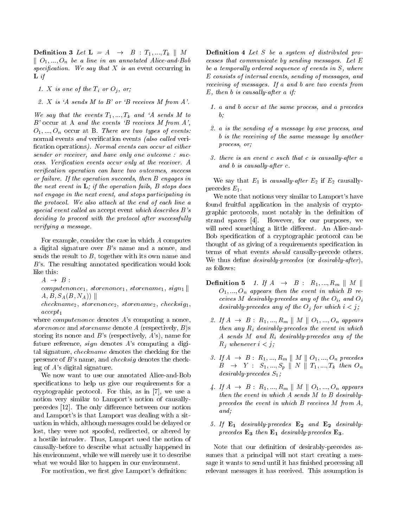**Definition 3** Let  $L = A \rightarrow B : T_1, ..., T_k \parallel M$  $\parallel$   $O_1, ..., O_n$  be a line in an annotated Alice-and-Bob specification. We say that  $X$  is an event occurring in  $L$  *if* 

1. X is one of the  $T_i$  or  $O_i$ , or;

2.  $X$  is  $'A$  sends  $M$  to  $B$  or  $'B$  receives  $M$  from  $A$ .

We say that the events  $T_1, ..., T_k$  and  $'A$  sends M to  $B'$  occur at A and the events 'B receives M from A'.  $O_1, ..., O_n$  occur at B. There are two types of events: normal events and verification events *(also called veri*fication operations). Normal events can occur at either sender or receiver, and have only one outcome : success. Verication events occur only at the receiver. A verication operation can have two outcomes, success or failure. If the operation succeeds, then B engages in the next event in  $L$ ; if the operation fails,  $B$  stops does not engage in the next event, and stops participating in the protocol. We also attach at the end of each line a special event called an accept event which describes  $B$ 's deciding to proceed with the protocol after successfully verifying a message.

For example, consider the case in which A computes a digital signature over B's name and a nonce, and sends the result to  $B$ , together with its own name and B's. The resulting annotated specification would look like this:

 $A \rightarrow B$ :

 $computenone<sub>1</sub>, storenone<sub>1</sub>, storename<sub>1</sub>, sign<sub>1</sub>$  $A, B, S_A(B, N_A))$ 

 $checkname_2$ , storenonce<sub>2</sub>, storename<sub>2</sub>, checksig<sub>1</sub>,  $accept_1$ 

where *computenonce* denotes A's computing a nonce, storenonce and storename denote A (respectively,  $B$ )s storing its nonce and  $B$ 's (respectively,  $A$ 's), name for future reference, sign denotes A's computing a digital signature, checkname denotes the checking for the presence of B's name, and checksig denotes the checking of A's digital signature.

We now want to use our annotated Alice-and-Bob specifications to help us give our requirements for a cryptographic protocol. For this, as in [7], we use a notion very similar to Lamport's notion of causallyprecedes [12]. The only difference between our notion and Lamport's is that Lamport was dealing with a situation in which, although messages could be delayed or lost, they were not spoofed, redirected, or altered by a hostile intruder. Thus, Lamport used the notion of causally-before to describe what actually happened in his environment, while we will merely use it to describe what we would like to happen in our environment.

For motivation, we first give Lamport's definition:

**Definition 4** Let  $S$  be a system of distributed processes that communicate by sending messages. Let E be a temporally ordered sequence of events in  $S$ , where E consists of internal events, sending of messages, and receiving of messages. If a and b are two events from  $E$ , then b is causally-after a if:

- 1. a and b occur at the same process, and a precedes  $b$ ;
- 2. a is the sending of a message by one process, and b is the receiving of the same message by another process, or;
- 3. there is an event c such that c is causally-after  $\alpha$ and  $b$  is causally-after  $c$ .

We say that  $E_1$  is causally-after  $E_2$  if  $E_2$  causallyprecedes  $E_1$ .

We note that notions very similar to Lamport's have found fruitful application in the analysis of cryptographic protocols, most notably in the denition of strand spaces [4]. However, for our purposes, we will need something a little different. An Alice-and-Bob specication of a cryptographic protocol can be thought of as giving of a requirements specication in terms of what events should causally-precede others. We thus define *desirably-precedes* (or *desirably-after*), as follows:

- **Definition 5** 1. If  $A \rightarrow B : R_1, ..., R_m \parallel M \parallel$  $O_1, \ldots, O_n$  appears then the event in which B receives M desirably-precedes any of the  $O_i$ , and  $O_i$ desirably-precedes any of the  $O_j$  for which  $i < j$ ;
	- 2. If  $A \rightarrow B: R_1, ..., R_m \parallel M \parallel O_1, ..., O_n$  appears then any  $R_i$  desirably-precedes the event in which A sends  $M$  and  $R_i$  desirably-precedes any of the  $R_i$  whenever  $i < j$ ;
	- 3. If  $A \rightarrow B : R_1, ..., R_m \parallel M \parallel O_1, ..., O_n$  precedes  $B \rightarrow Y : S_1, ..., S_p \parallel N \parallel T_1, ..., T_k$  then  $O_n$ desirably-precedes  $S_1$ ;
- 4. If  $A \rightarrow B: R_1, ..., R_m \parallel M \parallel O_1, ..., O_n$  appears then the event in which A sends M to B desirablyprecedes the event in which B receives M from A, and;
- 5. If  $E_1$  desirably-precedes  $E_2$  and  $E_2$  desirablyprecedes  $\mathbf{E_3}$  then  $\mathbf{E_1}$  desirably-precedes  $\mathbf{E_3}$ .

Note that our definition of desirably-precedes assumes that a principal will not start creating a message it wants to send until it has finished processing all relevant messages it has received. This assumption is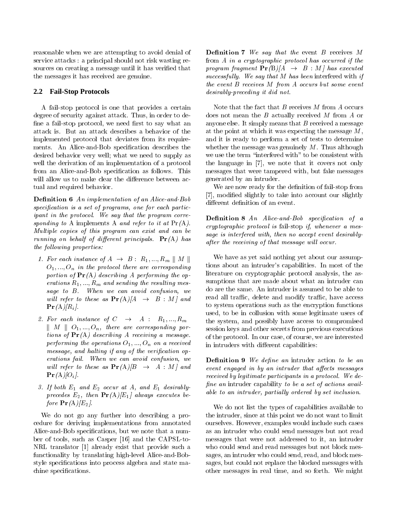reasonable when we are attempting to avoid denial of service attacks : a principal should not risk wasting resources on creating a message until it has veried that the messages it has received are genuine.

## **2.2 Fail-Stop Protocols**

A fail-stop protocol is one that provides a certain degree of security against attack. Thus, in order to de fine a fail-stop protocol, we need first to say what an attack is. But an attack describes a behavior of the implemented protocol that deviates from its requirements. An Alice-and-Bob specification describes the desired behavior very well; what we need to supply as well the derivation of an implementation of a protocol from an Alice-and-Bob specification as follows. This will allow us to make clear the difference between actual and required behavior.

**Definition 6** An implementation of an Alice-and-Bob specification is a set of programs, one for each participant in the protocol. We say that the program corresponding to A implements A and refer to it at  $Pr(A)$ . Multiple copies of this program can exist and can be running on behalf of different principals.  $Pr(A)$  has the following properties:

- 1. For each instance of  $A \rightarrow B : R_1, ..., R_m \parallel M \parallel$  $O_1, ..., O_n$  in the protocol there are corresponding portion of  $\Pr(A)$  describing A performing the operations  $R_1, \ldots, R_m$  and sending the resulting message to B. When we can avoid confusion, we will refer to these as  $\Pr(A)/A \rightarrow B : M$  and  $\Pr(A)/R_i$ .
- 2. For each instance of  $C \rightarrow A: R_1, ..., R_m$  $\parallel$  M  $\parallel$  O<sub>1</sub>, ..., O<sub>n</sub>, there are corresponding portions of  $Pr(A)$  describing A receiving a message. performing the operations  $O_1, ..., O_n$  on a received message, and halting if any of the verification operations fail. When we can avoid confusion, we will refer to these as  $\Pr(A)/B \rightarrow A : M$  and  $\Pr(A)/O_i$ .
- 3. If both  $E_1$  and  $E_2$  occur at A, and  $E_1$  desirablyprecedes  $E_2$ , then  $Pr(A)/E_1$  always executes before  $Pr(A)/E_2$ .

We do not go any further into describing a procedure for deriving implementations from annotated Alice-and-Bob specications, but we note that a number of tools, such as Casper [16] and the CAPSL-to-NRL translator [1] already exist that provide such a functionality by translating high-level Alice-and-Bobstyle specications into process algebra and state machine specifications.

**Definition 7** We say that the event  $B$  receives  $M$ from A in a cryptographic protocol has occurred if the program fragment  $\Pr(B)/A \rightarrow B : M$  has executed successfully. We say that  $M$  has been interfered with if the event B receives M from A occurs but some event desirably-preceding it did not.

Note that the fact that  $B$  receives  $M$  from  $A$  occurs does not mean the B actually received M from A or anyone else. It simply means that  $B$  received a message at the point at which it was expecting the message M, and it is ready to perform a set of tests to determine whether the message was genuinely  $M$ . Thus although we use the term "interfered with" to be consistent with the language in [7], we note that it covers not only messages that were tampered with, but fake messages generated by an intruder.

We are now ready for the definition of fail-stop from [7], modied slightly to take into account our slightly different definition of an event.

Definition 8 An Alice-and-Bob specification of a cryptographic protocol is fail-stop if, whenever a message is interfered with, then no accept event desirablyafter the receiving of that message will occur.

We have as yet said nothing yet about our assumptions about an intruder's capabilities. In most of the literature on cryptographic protocol analysis, the assumptions that are made about what an intruder can do are the same. An intruder is assumed to be able to read all traffic, delete and modify traffic, have access to system operations such as the encryption functions used, to be in collusion with some legitimate users of the system, and possibly have access to compromised session keys and other secrets from previous executions of the protocol. In our case, of course, we are interested in intruders with different capabilities:

**Definition 9** We define an intruder action to be an event engaged in by an intruder that affects messages received by legitimate participants in a protocol. We de fine an intruder capability to be a set of actions available to an intruder, partially ordered by set inclusion.

We do not list the types of capabilities available to the intruder, since at this point we do not want to limit ourselves. However, examples would include such cases as an intruder who could send messages but not read messages that were not addressed to it, an intruder who could send and read messages but not block messages, an intruder who could send, read, and block messages, but could not replace the blocked messages with other messages in real time, and so forth. We might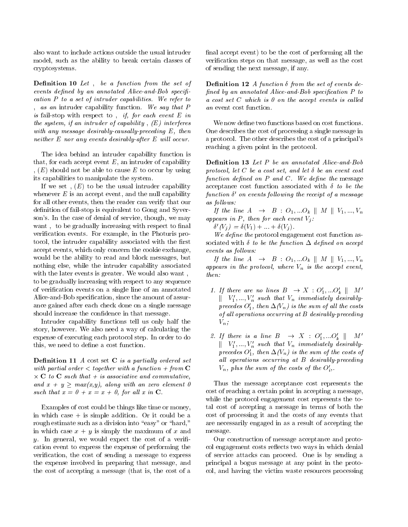also want to include actions outside the usual intruder model, such as the ability to break certain classes of cryptosystems.

Definition  $10$  Let, be a function from the set of  $events\ defined\ by\ an\ annotated\ Alice-and-Bob\ specific\$ cation P to a set of intruder capabilities. We refer to , as an intruder capability function. We say that  $P$ is fail-stop with respect to, if, for each event  $E$  in the system, if an intruder of capability,  $(E)$  interferes with any message desirably-causally-preceding  $E$ , then neither  $E$  nor any events desirably-after  $E$  will occur.

The idea behind an intruder capability function is that, for each accept event  $E$ , an intruder of capability ,  $(E)$  should not be able to cause E to occur by using its capabilities to manipulate the system.

If we set  $(E)$  to be the usual intruder capability whenever  $E$  is an accept event, and the null capability for all other events, then the reader can verify that our definition of fail-stop is equivalent to Gong and Syverson's. In the case of denial of service, though, we may want, to be gradually increasing with respect to final verification events. For example, in the Photuris protocol, the intruder capability associated with the first accept events, which only concern the cookie exchange, would be the ability to read and block messages, but nothing else, while the intruder capability associated with the later events is greater. We would also want, to be gradually increasing with respect to any sequence of verication events on a single line of an annotated Alice-and-Bob specification, since the amount of assurance gained after each check done on a single message should increase the confidence in that message.

Intruder capability functions tell us only half the story, however. We also need a way of calculating the expense of executing each protocol step. In order to do this, we need to define a cost function.

**Definition 11** A cost set  $C$  is a partially ordered set with partial order  $\lt$  together with a function  $+$  from  $C$ - <sup>C</sup> to <sup>C</sup> such that + is associative and commutative, and  $x + y > max(x, y)$ , along with an zero element 0 such that  $x = 0 + x = x + 0$ , for all x in C.

Examples of cost could be things like time or money, in which case  $+$  is simple addition. Or it could be a rough estimate such as a division into "easy" or "hard," in which case  $x + y$  is simply the maximum of x and  $y$ . In general, we would expect the cost of a verification event to express the expense of performing the verication, the cost of sending a message to express the expense involved in preparing that message, and the cost of accepting a message (that is, the cost of a

final accept event) to be the cost of performing all the verification steps on that message, as well as the cost of sending the next message, if any.

**Definition 12** A function  $\delta$  from the set of events defined by an annotated Alice-and-Bob specification  $P$  to a cost set  $C$  which is  $\theta$  on the accept events is called an event cost function.

We now define two functions based on cost functions. One describes the cost of processing a single message in a protocol. The other describes the cost of a principal's reaching a given point in the protocol.

Definition 13 Let P be an annotated Alice-and-Bob protocol, let C be a cost set, and let  $\delta$  be an event cost function defined on  $P$  and  $C$ . We define the message acceptance cost function associated with  $\delta$  to be the function of on events following the receipt of a message as follows:

If the line  $A \rightarrow B: O_1, \dots O_k \parallel M \parallel V_1, \dots, V_n$ appears in P, then for each event  $V_i$ :

$$
\delta'(V_j) = \delta(V_1) + \ldots + \delta(V_j).
$$

We define the protocol engagement cost function associated with  $\delta$  to be the function  $\Delta$  defined on accept events as follows:

If the line  $A \rightarrow B: O_1, \ldots O_k \parallel M \parallel V_1, \ldots, V_n$ appears in the protocol, where  $V_n$  is the accept event, then:

- 1. If there are no lines  $B \rightarrow X: O'_1, \dots O'_k \parallel M'$  $\parallel V_1',...,V_n'$  such that  $V_n$  immediately desirablyprecedes  $O_1'$ , then  $\Delta(V_n)$  is the sum of all the costs of all operations occurring at  $B$  desirably-preceding  $V_n$ ;
- 2. If there is a line  $B \rightarrow X : O'_1, \dots O'_k \parallel M'$  $\parallel$   $V'_1, ..., V'_n$  such that  $V_n$  immediately desirablyprecedes  $O'_1$ , then  $\Delta(V_n)$  is the sum of the costs of all operations occurring at  $B$  desirably-preceding  $V_n$ , plus the sum of the costs of the  $O_i',$ .

Thus the message acceptance cost represents the cost of reaching a certain point in accepting a message, while the protocol engagement cost represents the total cost of accepting a message in terms of both the cost of processing it and the costs of any events that are necessarily engaged in as a result of accepting the message.

Our construction of message acceptance and protocol engagement costs reflects two ways in which denial of service attacks can proceed. One is by sending a principal a bogus message at any point in the protocol, and having the victim waste resources processing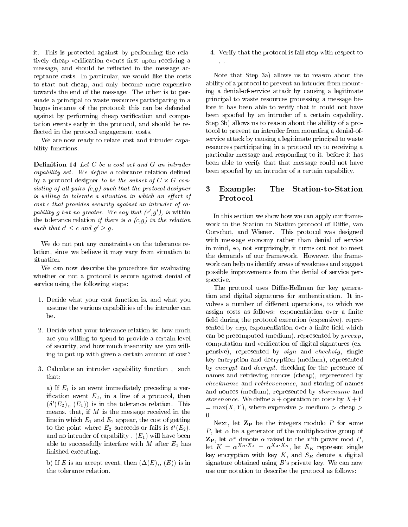it. This is protected against by performing the relatively cheap verification events first upon receiving a message, and should be reflected in the message acceptance costs. In particular, we would like the costs to start out cheap, and only become more expensive towards the end of the message. The other is to persuade a principal to waste resources participating in a bogus instance of the protocol; this can be defended against by performing cheap verification and computation events early in the protocol, and should be re flected in the protocol engagement costs.

We are now ready to relate cost and intruder capability functions.

**Definition 14** Let  $C$  be a cost set and  $G$  an intruder capability set. We define a tolerance relation defined by a protocol designer to be the subset of C - and C - and C - and C - and C - and C - and C - and C - and C sisting of all pairs  $(c,g)$  such that the protocol designer 3 is willing to tolerate a situation in which an effort of cost c that provides security against an intruder of ca $p$ avinty  $q$  vat no greater. We say that (c, $q$ ), is within the tolerance relation if there is a  $(c,g)$  in the relation such that  $c \leq c$  and  $q \geq q$ .

We do not put any constraints on the tolerance relation, since we believe it may vary from situation to situation.

We can now describe the procedure for evaluating whether or not a protocol is secure against denial of service using the following steps:

- 1. Decide what your cost function is, and what you assume the various capabilities of the intruder can be.
- 2. Decide what your tolerance relation is: how much are you willing to spend to provide a certain level of security, and how much insecurity are you willing to put up with given a certain amount of cost?
- 3. Calculate an intruder capability function, such that:

a) If  $E_1$  is an event immediately preceding a verification event  $E_2$ , in a line of a protocol, then  $(0, (E_2), (E_1))$  is in the tolerance relation. This means, that, if  $M$  is the message received in the  $\qquad_0$ line in which  $E_1$  and  $E_2$  appear, the cost of getting to the point where  $E_2$  succeeds or fails is  $\sigma(E_2)$ , and no intruder of capability,  $(E_1)$  will have been able to successfully interfere with  $M$  after  $E_1$  has finished executing.

b) If E is an accept event, then  $(\Delta(E),E)$  is in the tolerance relation.

4. Verify that the protocol is fail-stop with respect to .

Note that Step 3a) allows us to reason about the ability of a protocol to prevent an intruder from mounting a denial-of-service attack by causing a legitimate principal to waste resources processing a message before it has been able to verify that it could not have been spoofed by an intruder of a certain capability. Step 3b) allows us to reason about the ability of a protocol to prevent an intruder from mounting a denial-ofservice attack by causing a legitimate principal to waste resources participating in a protocol up to receiving a particular message and responding to it, before it has been able to verify that that message could not have been spoofed by an intruder of a certain capability.

# Example: The Station-to-Station Protocol

In this section we show how we can apply our frame work to the Station to Station protocol of Diffie, van Oorschot, and Wiener. This protocol was designed with message economy rather than denial of service in mind, so, not surprisingly, it turns out not to meet the demands of our framework. However, the frame work can help us identify areas of weakness and suggest possible improvements from the denial of service perspective.

The protocol uses Diffie-Hellman for key generation and digital signatures for authentication. It in volves a number of different operations, to which we assign costs as follows: exponentiation over a finite field during the protocol execution (expensive), represented by  $exp$ , exponentiation over a finite field which can be precomputed (medium), represented by preexp, computation and verication of digital signatures (expensive), represented by sign and checksig, single key encryption and decryption (medium), represented by encrypt and decrypt, checking for the presence of names and retrieving nonces (cheap), represented by checkname and retrievenonce, and storing of names and nonces (medium), represented by storename and storenonce. We define a + operation on costs by  $X+Y$  $= max(X, Y)$ , where expensive  $>$  medium  $>$  cheap  $>$ 

Next, let  $\mathbb{Z}_{P}$  be the integers modulo P for some P, let  $\alpha$  be a generator of the multiplicative group of  $\mathbf{Z}_{\mathbf{P}}$ , let  $\alpha^x$  denote  $\alpha$  raised to the x'th power mod P, let  $K = \alpha^{AB} A_A = \alpha^{AA} A_B$ , let  $E_K$  represent single key encryption with key  $K$ , and  $S_B$  denote a digital signature obtained using  $B$ 's private key. We can now use our notation to describe the protocol as follows: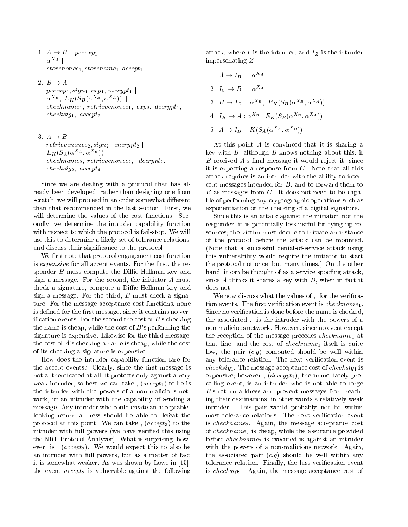- 1.  $A \rightarrow B$  : preexp<sub>1</sub> |  $\alpha^{X_A}$ ka kacamatan ing Kabupatèn Kabupatèn Kabupatèn Kabupatèn Kabupatèn Kabupatèn Kabupatèn Kabupatèn Kabupatèn Ka  $storenone<sub>1</sub>, storename<sub>1</sub>, accept<sub>1</sub>.$
- 2.  $B \rightarrow A$  :

 $\text{preexp}_1, \text{sign}_1, \text{exp}_1, \text{enerypt}_1$  $\alpha^{AB}$ ,  $E_K(S_B(\alpha^{AB}, \alpha^{AA}))$  $checkname_1$ , retrievenonce<sub>1</sub>, exp<sub>2</sub>, decrypt<sub>1</sub>,  $checksig_1$ ,  $accept_2$ .

3.  $A \rightarrow B$  :  $retrievenonce_2, sign_2, \ encrypt_2$  $E_K(S_A(\alpha^{A_A}, \alpha^{A_B}))$  $checkname_2, \n retrieve nonce_2, \n decryption_2,$  $checksig_2$ ,  $accept_4$ .

Since we are dealing with a protocol that has already been developed, rather than designing one from scratch, we will proceed in an order somewhat different than that recommended in the last section. First, we will determine the values of the cost functions. Secondly, we determine the intruder capability function with respect to which the protocol is fail-stop. We will use this to determine a likely set of tolerance relations, and discuss their signicance to the protocol.

We first note that protocol engagement cost function is expensive for all accept events. For the first, the responder  $B$  must compute the Diffie-Hellman key and sign a message. For the second, the initiator A must check a signature, compute a Diffie-Hellman key and sign a message. For the third,  $B$  must check a signature. For the message acceptance cost functions, none is defined for the first message, since it contains no verification events. For the second the cost of  $B$ 's checking the name is cheap, while the cost of  $B$ 's performing the signature is expensive. Likewise for the third message: the cost of A's checking a name is cheap, while the cost of its checking a signature is expensive.

How doesthe intruder capability function fare for the accept events? Clearly, since the first message is not authenticated at all, it protects only against a very weak intruder, so best we can take,  $(accept<sub>1</sub>)$  to be is the intruder with the powers of a non-malicious net work, or an intruder with the capability of sending a message. Any intruder who could create an acceptablelooking return address should be able to defeat the protocol at this point. We can take,  $(accept<sub>3</sub>)$  to the intruder with full powers (we have veried this using the NRL Protocol Analyzer). What is surprising, how ever, is,  $(accept_2)$ . We would expect this to also be an intruder with full powers, but as a matter of fact it is somewhat weaker. As was shown by Lowe in [15], the event  $accept_2$  is vulnerable against the following

attack, where I is the intruder, and  $I_Z$  is the intruder impersonating Z:

1.  $A \rightarrow I_B$  :  $\alpha^{X_A}$ 2.  $I_C \rightarrow B$  :  $\alpha^{X_A}$ 3.  $B \to I_C$  :  $\alpha^{AB}$ ,  $E_K(S_B(\alpha^{AB}, \alpha^{AA}))$ 4.  $I_B \rightarrow A : \alpha^{AB}, E_K(S_B(\alpha^{AB}, \alpha^{AA}))$ 5.  $A \rightarrow I_B : K(S_A(\alpha^{AA}, \alpha^{AB}))$ 

At this point A is convinced that it is sharing a key with  $B$ , although  $B$  knows nothing about this; if  $B$  received  $A$ 's final message it would reject it, since it is expecting a response from  $C$ . Note that all this attack requires is an intruder with the ability to intercept messages intended for B, and to forward them to  $B$  as messages from  $C$ . It does not need to be capable of performing any cryptographic operations such as exponentiation or the checking of a digital signature.

Since this is an attack against the initiator, not the responder, it is potentially less useful for tying up resources; the victim must decide to initiate an instance of the protocol before the attack can be mounted. (Note that a successful denial-of-service attack using this vulnerability would require the initiator to start the protocol not once, but many times.) On the other hand, it can be thought of as a service spoofing attack, since  $A$  thinks it shares a key with  $B$ , when in fact it does not.

We now discuss what the values of, for the verification events. The first verification event is *checkname*<sup>1</sup>. Since no verication is done before the name is checked, the associated, is the intruder with the powers of a non-malicious network. However, since no event except the reception of the message precedes *checkname*<sup>1</sup> at that line, and the cost of  $checkname_1$  itself is quite low, the pair  $(c,g)$  computed should be well within any tolerance relation. The next verification event is  $checksig_1$ . The message acceptance cost of *checksig*<sub>1</sub> is expensive; however,  $(decrypt<sub>1</sub>)$ , the immediately preceding event, is an intruder who is not able to forge B's return address and prevent messages from reaching their destinations, in other words a relatively weak intruder. This pair would probably not be within most tolerance relations. The next verification event is  $checkname_2$ . Again, the message acceptance cost of  $checkname<sub>2</sub>$  is cheap, while the assurance provided before  $checkname_2$  is executed is against an intruder with the powers of a non-malicious network. Again, the associated pair  $(c,q)$  should be well within any tolerance relation. Finally, the last verification event is  $checksig_2$ . Again, the message acceptance cost of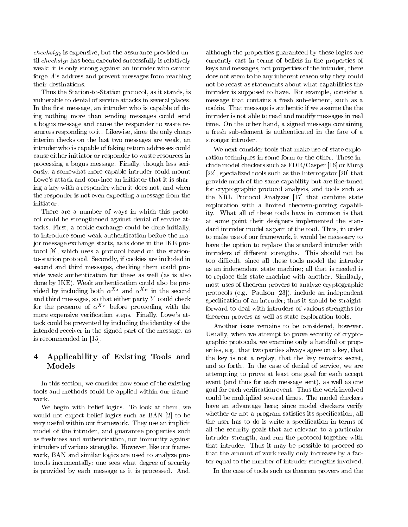$checksig_2$  is expensive, but the assurance provided until  $checksig_2$  has been executed successfully is relatively weak: it is only strong against an intruder who cannot forge A's address and prevent messages from reaching their destinations.

Thus the Station-to-Station protocol, as it stands, is vulnerable to denial of service attacks in several places. In the first message, an intruder who is capable of doing nothing more than sending messages could send a bogus message and cause the responder to waste resources responding to it. Likewise, since the only cheap interim checks on the last two messages are weak, an intruder who is capable of faking return addresses could cause either initiator or responder to waste resources in processing a bogus message. Finally, though less seriously, a somewhat more capable intruder could mount Lowe's attack and convince an initiator that it is sharing a key with a responder when it does not, and when the responder is not even expecting a message from the initiator.

There are a number of ways in which this protocol could be strengthened against denial of service attacks. First, a cookie exchange could be done initially, to introduce some weak authentication before the major message exchange starts, as is done in the IKE protocol [8], which uses a protocol based on the stationto-station protocol. Secondly, if cookies are included in second and third messages, checking them could provide weak authentication for these as well (as is also done by IKE). Weak authentication could also be provided by including both  $\alpha^{A}$  and  $\alpha^{A}$  in the second prot and third messages, so that either party  $Y$  could check for the presence of  $\alpha^{X_Y}$  before proceeding with the more expensive verification steps. Finally, Lowe's attack could be prevented by including the identity of the intended receiver in the signed part of the message, as is recommended in [15].

# 4 Applicability of Existing Tools and Models

In this section, we consider how some of the existing tools and methods could be applied within our frame work.

We begin with belief logics. To look at them, we would not expect belief logics such as BAN [2] to be very useful within our framework. They use an implicit model of the intruder, and guarantee properties such as freshness and authentication, not immunity against intruders of various strengths. However, like our frame work, BAN and similar logics are used to analyze protocols incrementally; one sees what degree of security is provided by each message as it is processed. And,

although the properties guaranteed by these logics are currently cast in terms of beliefs in the properties of keys and messages, not properties of the intruder, there does not seem to be any inherent reason why they could not be recast as statements about what capabilities the intruder is supposed to have. For example, consider a message that contains a fresh sub-element, such as a cookie. That message is authentic if we assume the the intruder is not able to read and modify messages in real time. On the other hand, a signed message containing a fresh sub-element is authenticated in the face of a stronger intruder.

We next consider tools that make use of state exploration techniques in some form or the other. These include model checkers such as  $FDR/Casper$  [16] or Mur $\phi$ [22], specialized tools such as the Interrogator [20] that provide much of the same capability but are fine-tuned for cryptographic protocol analysis, and tools such as the NRL Protocol Analyzer [17] that combine state exploration with a limited theorem-proving capability. What all of these tools have in common is that at some point their designers implemented the standard intruder model as part of the tool. Thus, in order to make use of our framework, it would be necessary to have the option to replace the standard intruder with intruders of different strengths. This should not be too difficult, since all these tools model the intruder as an independent state machine; all that is needed is to replace this state machine with another. Similarly, most uses of theorem provers to analyze cryptographic protocols (e.g. Paulson [23]), include an independent specification of an intruder; thus it should be straightforward to deal with intruders of various strengths for theorem provers as well as state exploration tools.

Another issue remains to be considered, however. Usually, when we attempt to prove security of cryptographic protocols, we examine only a handful or properties, e.g., that two parties always agree on a key, that the key is not a replay, that the key remains secret, and so forth. In the case of denial of service, we are attempting to prove at least one goal for each accept event (and thus for each message sent), as well as one goal for each verication event. Thus the work involved could be multiplied several times. The model checkers have an advantage here; since model checkers verify whether or not a program satisfies its specification, all the user has to do is write a specication in terms of all the security goals that are relevant to a particular intruder strength, and run the protocol together with that intruder. Thus it may be possible to proceed so that the amount of work really only increases by a factor equal to the number of intruder strengths involved.

In the case of tools such as theorem provers and the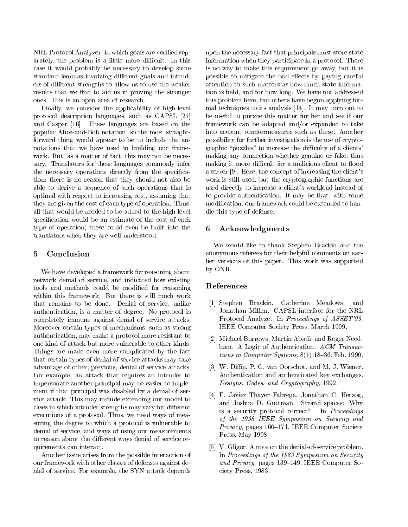NRL Protocol Analyzer, in which goals are veried separately, the problem is a little more difficult. In this case it would probably be necessary to develop some standard lemmas involving different goals and intruders of different strengths to allow us to use the weaker results that we find to aid us in proving the stronger ones. This is an open area of research.

Finally, we consider the applicability of high-level protocol description languages, such as CAPSL [21] and Casper [16]. These languages are based on the popular Alice-and-Bob notation, so the most straightforward thing would appear to be to include the annotations that we have used in building our frame work. But, as a matter of fact, this may not be necessary. Translators for these languages commonly infer the necessary operations directly from the specication; there is no reason that they should not also be able to derive a sequence of such operations that is optimal with respect to increasing cost, assuming that they are given the cost of each type of operation. Thus, all that would be needed to be added to the high-level specification would be an estimate of the cost of each type of operation; these could even be built into the 6 translators when they are well understood.

### $\mathbf{5}$ **Conclusion**

We have developed a framework for reasoning about network denial of service, and indicated how existing tools and methods could be modied for reasoning within this framework. But there is still much work that remains to be done. Denial of service, unlike authentication, is a matter of degree. No protocol is completely immune against denial of service attacks. Moreover certain types of mechanisms, such as strong authentication, may make a protocol more resistant to one kind of attack but more vulnerable to other kinds. Things are made even more complicated by the fact that certain types of denial of service attacks may take advantage of other, previous, denial of service attacks. For example, an attack that requires an intruder to impersonate another principal may be easier to implement if that principal was disabled by a denial of service attack. This may include extending our model to cases in which intruder strengths may vary for different executions of a protocol. Thus, we need ways of measuring the degree to which a protocol is vulnerable to denial of service, and ways of using our measurements to reason about the different ways denial of service requirements can interact.

Another issue arises from the possible interaction of our framework with other classes of defenses against denial of service. For example, the SYN attack depends

upon the necessary fact that principals must store state information when they participate in a protocol. There is no way to make this requirement go away, but it is possible to mitigate the bad effects by paying careful attention to such matters as how much state information is held, and for how long. We have not addressed this problem here, but others have begun applying formal techniques to its analysis [14]. It may turn out to be useful to pursue this matter further and see if our framework can be adapted and/or expanded to take into account countermeasures such as these. Another possibility for further investigation is the use of cryptographic "puzzles" to increase the difficulty of a clients' making any connection whether genuine or fake, thus making it more difficult for a malicious client to flood a server [9]. Here, the concept of increasing the client's work is still used, but the cryptographic functions are used directly to increase a client's workload instead of to provide authentication. It may be that, with some modification, our framework could be extended to handle this type of defense.

## ${\bf Acknowledgments}$

We would like to thank Stephen Brackin and the anonymous referees for their helpful comments on earlier versions of this paper. This work was supported by ONR.

# References

- [1] Stephen Brackin, Catherine Meadows, and Jonathan Millen. CAPSL interface for the NRL Protocol Analyze. In Proceedings of ASSET'99. IEEE Computer Society Press, March 1999.
- [2] Michael Burrows, Martín Abadi, and Roger Needham. A Logic of Authentication. ACM Transactions in Computer Systems,  $8(1):18-36$ , Feb. 1990.
- [3] W. Diffie, P. C. van Oorschot, and M. J. Wiener. Authentication and authenticated key exchanges. Designs, Codes, and Cryptography, 1992.
- [4] F. Javier Thayer Fabrega, Jonathan C. Herzog, and Joshua D. Guttman. Strand spaces: Why is a security protocol correct? In Proceedings of the 1998 IEEE Symposium on Security and Privacy, pages 160-171. IEEE Computer Society Press, May 1998.
- [5] V. Gligor. A note on the denial-of-service problem. In Proceedings of the 1983 Symposium on Security and Privacy, pages  $139-149$ . IEEE Computer Society Press, 1983.